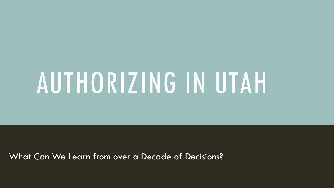# AUTHORIZING IN UTAH

What Can We Learn from over a Decade of Decisions?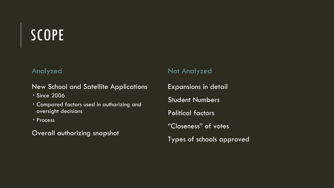## SCOPE

#### Analyzed

New School and Satellite Applications

- Since 2006
- Compared factors used in authorizing and oversight decisions
- Process

Overall authorizing snapshot

#### Not Analyzed

Expansions in detail Student Numbers Political factors "Closeness" of votes Types of schools approved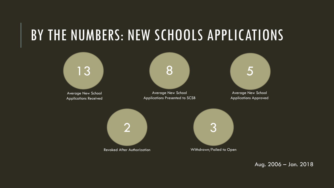## BY THE NUMBERS: NEW SCHOOLS APPLICATIONS



Aug. 2006 – Jan. 2018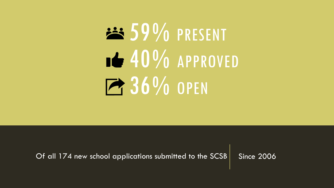# 23 59% PRESENT 1640% APPROVED **236% OPEN**

Of all 174 new school applications submitted to the SCSB  $\vert$  Since 2006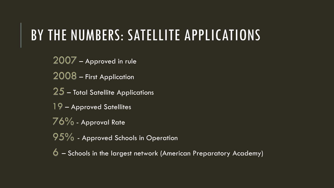## BY THE NUMBERS: SATELLITE APPLICATIONS

2007 – Approved in rule 2008 – First Application 25 – Total Satellite Applications

19 – Approved Satellites

76% - Approval Rate

95% - Approved Schools in Operation

6 – Schools in the largest network (American Preparatory Academy)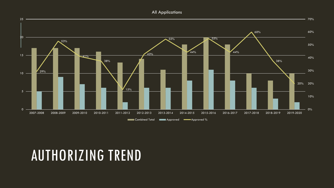All Applications



## AUTHORIZING TREND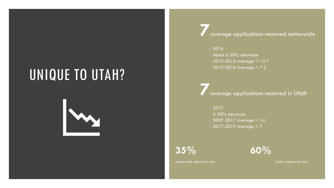## UNIQUE TO UTAH?



**7**average applications received nationwide

- 2016
- About a 50% decrease
- 2010-2015 Average = 13.7
- $2015 2016$  Average =  $7.2$

**7**average applications received in Utah

- 2017
	- A 50% decrease
- 2007-2017 Average = 14
- $2017 2019$  Average = 7

**35% 60%**

nationwide approval rate Utah's approval rate Utah's approval rate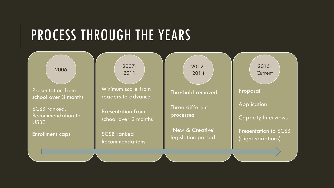## PROCESS THROUGH THE YEARS

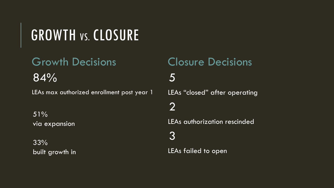## GROWTH VS. CLOSURE

## Growth Decisions

84%

LEAs max authorized enrollment post year 1

51% via expansion

33% built growth in

### Closure Decisions 5 LEAs "closed" after operating

### 2

LEAs authorization rescinded

#### 3

LEAs failed to open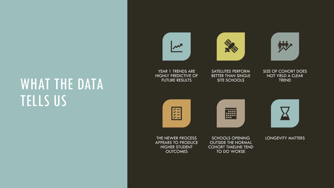## WHAT THE DATA TELLS US

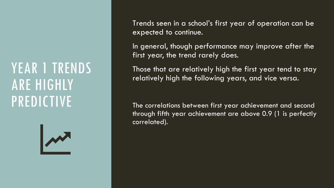## YEAR I TRENDS ARE HIGHLY PREDICTIVE



Trends seen in a school's first year of operation can be expected to continue.

In general, though performance may improve after the first year, the trend rarely does.

Those that are relatively high the first year tend to stay relatively high the following years, and vice versa.

The correlations between first year achievement and second through fifth year achievement are above 0.9 (1 is perfectly correlated).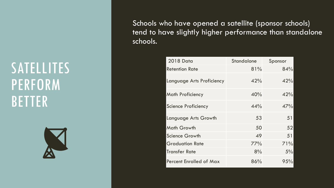## **SATELLITES** PERFORM BETTER



Schools who have opened a satellite (sponsor schools) tend to have slightly higher performance than standalone schools.

| <b>2018 Data</b>                 | Standalone | Sponsor |
|----------------------------------|------------|---------|
| <b>Retention Rate</b>            | 81%        | 84%     |
| <b>Language Arts Proficiency</b> | 42%        | 42%     |
| <b>Math Proficiency</b>          | 40%        | 42%     |
| <b>Science Proficiency</b>       | 44%        | 47%     |
| Language Arts Growth             | 53         | 51      |
| <b>Math Growth</b>               | 50         | 52      |
| <b>Science Growth</b>            | 49         | 51      |
| <b>Graduation Rate</b>           | 77%        | 71%     |
| <b>Transfer Rate</b>             | 8%         | 5%      |
| <b>Percent Enrolled of Max</b>   | 86%        | 95%     |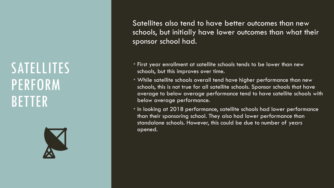## **SATELLITES** PERFORM BETTER



Satellites also tend to have better outcomes than new schools, but initially have lower outcomes than what their sponsor school had.

- First year enrollment at satellite schools tends to be lower than new schools, but this improves over time.
- While satellite schools overall tend have higher performance than new schools, this is not true for all satellite schools. Sponsor schools that have average to below average performance tend to have satellite schools with below average performance.
- In looking at 2018 performance, satellite schools had lower performance than their sponsoring school. They also had lower performance than standalone schools. However, this could be due to number of years opened.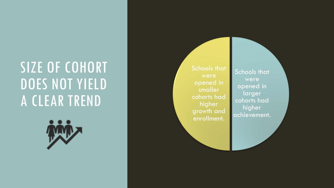## SIZE OF COHORT DOES NOT YIELD A CLEAR TREND

Schools that were opened in smaller cohorts had higher growth and enrollment.

Schools that were opened in **larger** cohorts had higher achievement.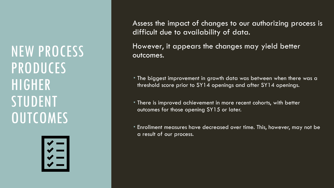NEW PROCESS PRODUCES HIGHER STUDENT **OUTCOMES** 



Assess the impact of changes to our authorizing process is difficult due to availability of data.

However, it appears the changes may yield better outcomes.

- The biggest improvement in growth data was between when there was a threshold score prior to SY14 openings and after SY14 openings.
- There is improved achievement in more recent cohorts, with better outcomes for those opening SY15 or later.
- Enrollment measures have decreased over time. This, however, may not be a result of our process.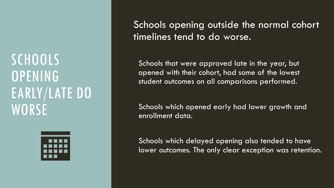**SCHOOLS** OPENING EARLY/LATE DO **WORSE** 



Schools opening outside the normal cohort timelines tend to do worse.

Schools that were approved late in the year, but opened with their cohort, had some of the lowest student outcomes on all comparisons performed.

Schools which opened early had lower growth and enrollment data.

Schools which delayed opening also tended to have lower outcomes. The only clear exception was retention.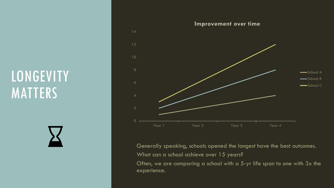## **LONGEVITY MATTERS**



Generally speaking, schools opened the longest have the best outcomes. What can a school achieve over 15 years?

Often, we are comparing a school with a 5-yr life span to one with 3x the experience.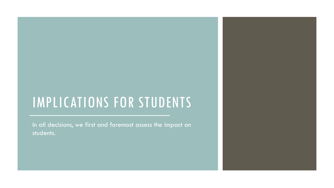## IMPLICATIONS FOR STUDENTS

In all decisions, we first and foremost assess the impact on students.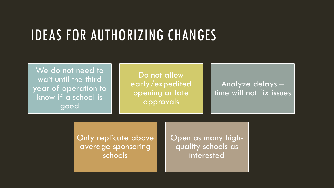## IDEAS FOR AUTHORIZING CHANGES

We do not need to wait until the third year of operation to know if a school is good

Do not allow early/expedited opening or late approvals

Analyze delays – time will not fix issues

Only replicate above average sponsoring schools

Open as many high- quality schools as interested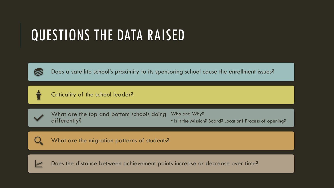## QUESTIONS THE DATA RAISED



Does a satellite school's proximity to its sponsoring school cause the enrollment issues?



Criticality of the school leader?



What are the top and bottom schools doing differently? Who and Why?





What are the migration patterns of students?

Does the distance between achievement points increase or decrease over time?